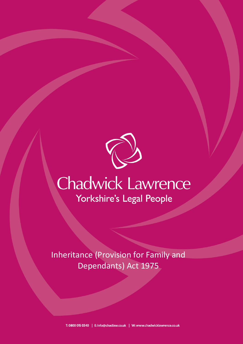

## **Chadwick Lawrence** Yorkshire's Legal People

Inheritance (Provision for Family and Dependants) Act 1975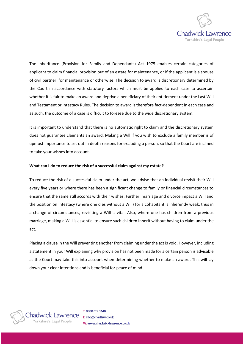

The Inheritance (Provision for Family and Dependants) Act 1975 enables certain categories of applicant to claim financial provision out of an estate for maintenance, or if the applicant is a spouse of civil partner, for maintenance or otherwise. The decision to award is discretionary determined by the Court in accordance with statutory factors which must be applied to each case to ascertain whether it is fair to make an award and deprive a beneficiary of their entitlement under the Last Will and Testament or Intestacy Rules. The decision to award is therefore fact-dependent in each case and as such, the outcome of a case is difficult to foresee due to the wide discretionary system.

It is important to understand that there is no automatic right to claim and the discretionary system does not guarantee claimants an award. Making a Will if you wish to exclude a family member is of upmost importance to set out in depth reasons for excluding a person, so that the Court are inclined to take your wishes into account.

## **What can I do to reduce the risk of a successful claim against my estate?**

To reduce the risk of a successful claim under the act, we advise that an individual revisit their Will every five years or where there has been a significant change to family or financial circumstances to ensure that the same still accords with their wishes. Further, marriage and divorce impact a Will and the position on Intestacy (where one dies without a Will) for a cohabitant is inherently weak, thus in a change of circumstances, revisiting a Will is vital. Also, where one has children from a previous marriage, making a Will is essential to ensure such children inherit without having to claim under the act.

Placing a clause in the Will preventing another from claiming under the act is void. However, including a statement in your Will explaining why provision has not been made for a certain person is advisable as the Court may take this into account when determining whether to make an award. This will lay down your clear intentions and is beneficial for peace of mind.



T: 0800 015 0340 E: info@chadlaw.co.uk W: www.chadwicklawrence.co.uk